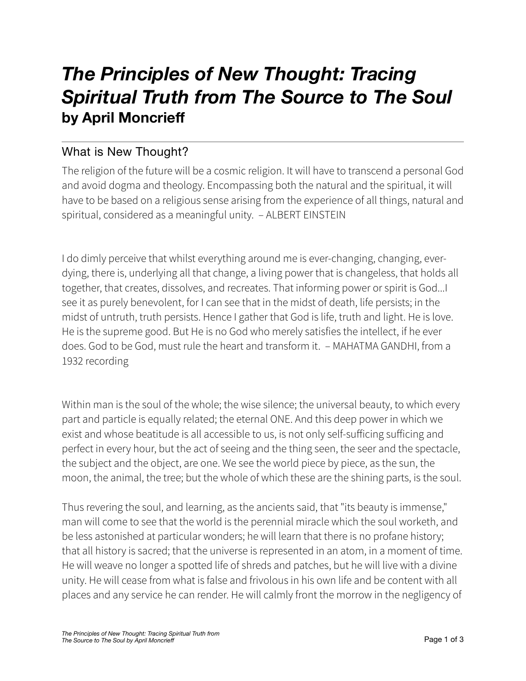## *The Principles of New Thought: Tracing Spiritual Truth from The Source to The Soul*  **by April Moncrieff**

## What is New Thought?

The religion of the future will be a cosmic religion. It will have to transcend a personal God and avoid dogma and theology. Encompassing both the natural and the spiritual, it will have to be based on a religious sense arising from the experience of all things, natural and spiritual, considered as a meaningful unity. – ALBERT EINSTEIN

I do dimly perceive that whilst everything around me is ever-changing, changing, everdying, there is, underlying all that change, a living power that is changeless, that holds all together, that creates, dissolves, and recreates. That informing power or spirit is God...I see it as purely benevolent, for I can see that in the midst of death, life persists; in the midst of untruth, truth persists. Hence I gather that God is life, truth and light. He is love. He is the supreme good. But He is no God who merely satisfies the intellect, if he ever does. God to be God, must rule the heart and transform it. – MAHATMA GANDHI, from a 1932 recording

Within man is the soul of the whole; the wise silence; the universal beauty, to which every part and particle is equally related; the eternal ONE. And this deep power in which we exist and whose beatitude is all accessible to us, is not only self-sufficing sufficing and perfect in every hour, but the act of seeing and the thing seen, the seer and the spectacle, the subject and the object, are one. We see the world piece by piece, as the sun, the moon, the animal, the tree; but the whole of which these are the shining parts, is the soul.

Thus revering the soul, and learning, as the ancients said, that "its beauty is immense," man will come to see that the world is the perennial miracle which the soul worketh, and be less astonished at particular wonders; he will learn that there is no profane history; that all history is sacred; that the universe is represented in an atom, in a moment of time. He will weave no longer a spotted life of shreds and patches, but he will live with a divine unity. He will cease from what is false and frivolous in his own life and be content with all places and any service he can render. He will calmly front the morrow in the negligency of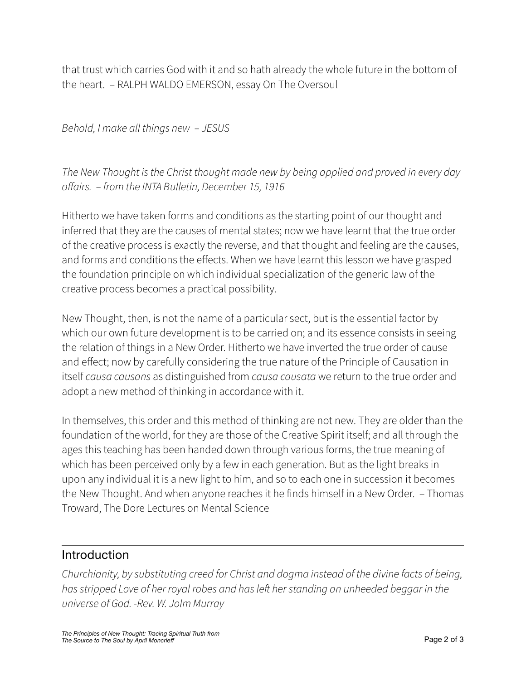that trust which carries God with it and so hath already the whole future in the bottom of the heart. – RALPH WALDO EMERSON, essay On The Oversoul

*Behold, I make all things new – JESUS* 

*The New Thought is the Christ thought made new by being applied and proved in every day a*ff*airs. – from the INTA Bulletin, December 15, 1916* 

Hitherto we have taken forms and conditions as the starting point of our thought and inferred that they are the causes of mental states; now we have learnt that the true order of the creative process is exactly the reverse, and that thought and feeling are the causes, and forms and conditions the effects. When we have learnt this lesson we have grasped the foundation principle on which individual specialization of the generic law of the creative process becomes a practical possibility.

New Thought, then, is not the name of a particular sect, but is the essential factor by which our own future development is to be carried on; and its essence consists in seeing the relation of things in a New Order. Hitherto we have inverted the true order of cause and effect; now by carefully considering the true nature of the Principle of Causation in itself *causa causans* as distinguished from *causa causata* we return to the true order and adopt a new method of thinking in accordance with it.

In themselves, this order and this method of thinking are not new. They are older than the foundation of the world, for they are those of the Creative Spirit itself; and all through the ages this teaching has been handed down through various forms, the true meaning of which has been perceived only by a few in each generation. But as the light breaks in upon any individual it is a new light to him, and so to each one in succession it becomes the New Thought. And when anyone reaches it he finds himself in a New Order. – Thomas Troward, The Dore Lectures on Mental Science

## Introduction

*Churchianity, by substituting creed for Christ and dogma instead of the divine facts of being, has stripped Love of her royal robes and has le*f *her standing an unheeded beggar in the universe of God. -Rev. W. Jolm Murray*